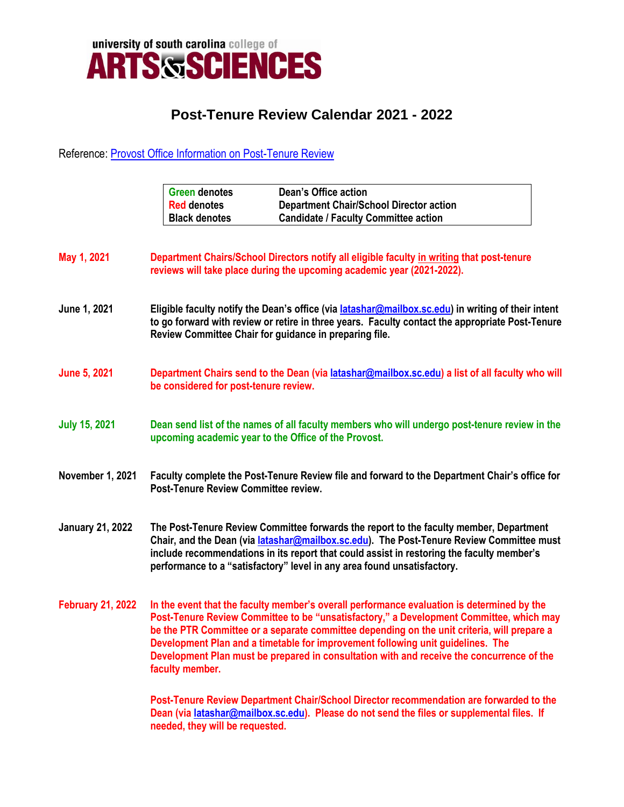

## **Post-Tenure Review Calendar 2021 - 2022**

## Reference: [Provost Office Information on Post-Tenure Review](https://www.sc.edu/about/offices_and_divisions/provost/faculty/tenure/post-tenure.php)

|                          | <b>Dean's Office action</b><br><b>Green denotes</b><br><b>Department Chair/School Director action</b><br><b>Red denotes</b><br><b>Black denotes</b><br><b>Candidate / Faculty Committee action</b>                                                                                                                                                                                                                                                                                      |
|--------------------------|-----------------------------------------------------------------------------------------------------------------------------------------------------------------------------------------------------------------------------------------------------------------------------------------------------------------------------------------------------------------------------------------------------------------------------------------------------------------------------------------|
| May 1, 2021              | Department Chairs/School Directors notify all eligible faculty in writing that post-tenure<br>reviews will take place during the upcoming academic year (2021-2022).                                                                                                                                                                                                                                                                                                                    |
| June 1, 2021             | Eligible faculty notify the Dean's office (via <i>latashar@mailbox.sc.edu</i> ) in writing of their intent<br>to go forward with review or retire in three years. Faculty contact the appropriate Post-Tenure<br>Review Committee Chair for guidance in preparing file.                                                                                                                                                                                                                 |
| <b>June 5, 2021</b>      | Department Chairs send to the Dean (via latashar@mailbox.sc.edu) a list of all faculty who will<br>be considered for post-tenure review.                                                                                                                                                                                                                                                                                                                                                |
| <b>July 15, 2021</b>     | Dean send list of the names of all faculty members who will undergo post-tenure review in the<br>upcoming academic year to the Office of the Provost.                                                                                                                                                                                                                                                                                                                                   |
| November 1, 2021         | Faculty complete the Post-Tenure Review file and forward to the Department Chair's office for<br>Post-Tenure Review Committee review.                                                                                                                                                                                                                                                                                                                                                   |
| <b>January 21, 2022</b>  | The Post-Tenure Review Committee forwards the report to the faculty member, Department<br>Chair, and the Dean (via latashar@mailbox.sc.edu). The Post-Tenure Review Committee must<br>include recommendations in its report that could assist in restoring the faculty member's<br>performance to a "satisfactory" level in any area found unsatisfactory.                                                                                                                              |
| <b>February 21, 2022</b> | In the event that the faculty member's overall performance evaluation is determined by the<br>Post-Tenure Review Committee to be "unsatisfactory," a Development Committee, which may<br>be the PTR Committee or a separate committee depending on the unit criteria, will prepare a<br>Development Plan and a timetable for improvement following unit guidelines. The<br>Development Plan must be prepared in consultation with and receive the concurrence of the<br>faculty member. |
|                          | Post-Tenure Review Department Chair/School Director recommendation are forwarded to the<br>Dean (via latashar@mailbox.sc.edu). Please do not send the files or supplemental files. If                                                                                                                                                                                                                                                                                                   |

**needed, they will be requested.**